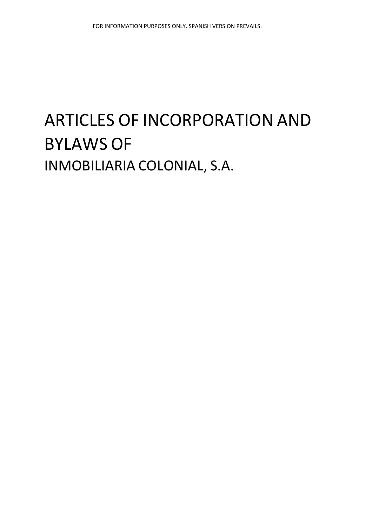# ARTICLES OF INCORPORATION AND BYLAWS OF INMOBILIARIA COLONIAL, S.A.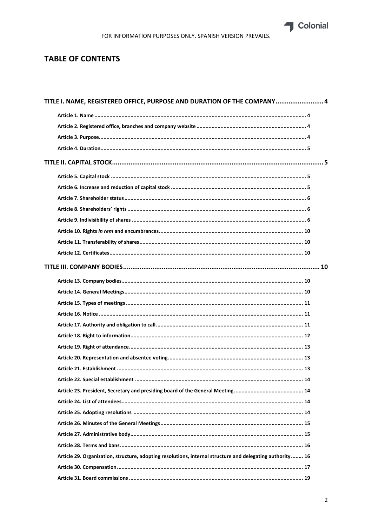Colonial

# **TABLE OF CONTENTS**

| TITLE I. NAME, REGISTERED OFFICE, PURPOSE AND DURATION OF THE COMPANY 4                                   |  |
|-----------------------------------------------------------------------------------------------------------|--|
|                                                                                                           |  |
|                                                                                                           |  |
|                                                                                                           |  |
|                                                                                                           |  |
|                                                                                                           |  |
|                                                                                                           |  |
|                                                                                                           |  |
|                                                                                                           |  |
|                                                                                                           |  |
|                                                                                                           |  |
|                                                                                                           |  |
|                                                                                                           |  |
|                                                                                                           |  |
|                                                                                                           |  |
|                                                                                                           |  |
|                                                                                                           |  |
|                                                                                                           |  |
|                                                                                                           |  |
|                                                                                                           |  |
|                                                                                                           |  |
|                                                                                                           |  |
|                                                                                                           |  |
|                                                                                                           |  |
|                                                                                                           |  |
|                                                                                                           |  |
|                                                                                                           |  |
|                                                                                                           |  |
|                                                                                                           |  |
|                                                                                                           |  |
|                                                                                                           |  |
| Article 29. Organization, structure, adopting resolutions, internal structure and delegating authority 16 |  |
|                                                                                                           |  |
|                                                                                                           |  |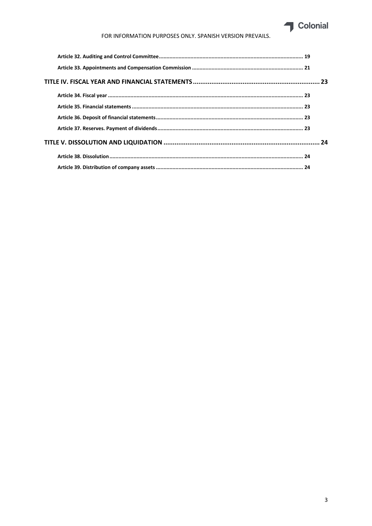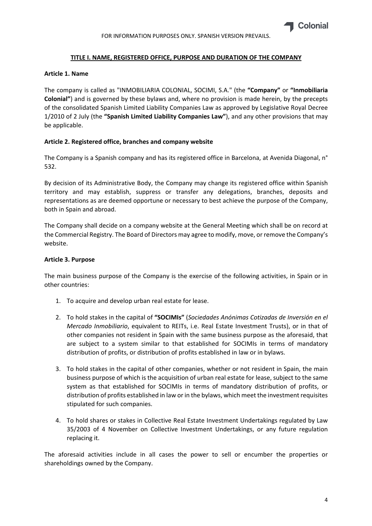# **TITLE I. NAME, REGISTERED OFFICE, PURPOSE AND DURATION OF THE COMPANY**

#### **Article 1. Name**

The company is called as "INMOBILIARIA COLONIAL, SOCIMI, S.A." (the **"Company"** or **"Inmobiliaria Colonial"**) and is governed by these bylaws and, where no provision is made herein, by the precepts of the consolidated Spanish Limited Liability Companies Law as approved by Legislative Royal Decree 1/2010 of 2 July (the **"Spanish Limited Liability Companies Law"**), and any other provisions that may be applicable.

# **Article 2. Registered office, branches and company website**

The Company is a Spanish company and has its registered office in Barcelona, at Avenida Diagonal, n° 532.

By decision of its Administrative Body, the Company may change its registered office within Spanish territory and may establish, suppress or transfer any delegations, branches, deposits and representations as are deemed opportune or necessary to best achieve the purpose of the Company, both in Spain and abroad.

The Company shall decide on a company website at the General Meeting which shall be on record at the Commercial Registry. The Board of Directors may agree to modify, move, or remove the Company's website.

# **Article 3. Purpose**

The main business purpose of the Company is the exercise of the following activities, in Spain or in other countries:

- 1. To acquire and develop urban real estate for lease.
- 2. To hold stakes in the capital of **"SOCIMIs"** (*Sociedades Anónimas Cotizadas de Inversión en el Mercado Inmobiliario*, equivalent to REITs, i.e. Real Estate Investment Trusts), or in that of other companies not resident in Spain with the same business purpose as the aforesaid, that are subject to a system similar to that established for SOCIMIs in terms of mandatory distribution of profits, or distribution of profits established in law or in bylaws.
- 3. To hold stakes in the capital of other companies, whether or not resident in Spain, the main business purpose of which is the acquisition of urban real estate for lease, subject to the same system as that established for SOCIMIs in terms of mandatory distribution of profits, or distribution of profits established in law or in the bylaws, which meet the investment requisites stipulated for such companies.
- 4. To hold shares or stakes in Collective Real Estate Investment Undertakings regulated by Law 35/2003 of 4 November on Collective Investment Undertakings, or any future regulation replacing it.

The aforesaid activities include in all cases the power to sell or encumber the properties or shareholdings owned by the Company.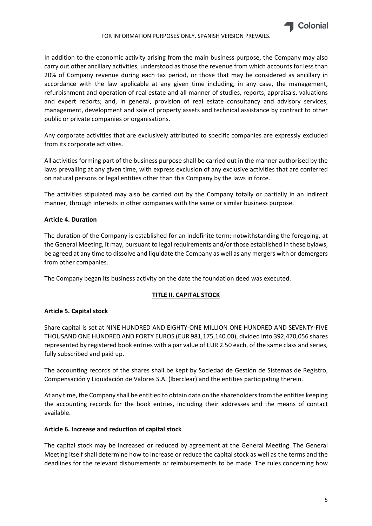

In addition to the economic activity arising from the main business purpose, the Company may also carry out other ancillary activities, understood as those the revenue from which accounts for less than 20% of Company revenue during each tax period, or those that may be considered as ancillary in accordance with the law applicable at any given time including, in any case, the management, refurbishment and operation of real estate and all manner of studies, reports, appraisals, valuations and expert reports; and, in general, provision of real estate consultancy and advisory services, management, development and sale of property assets and technical assistance by contract to other public or private companies or organisations.

Any corporate activities that are exclusively attributed to specific companies are expressly excluded from its corporate activities.

All activities forming part of the business purpose shall be carried out in the manner authorised by the laws prevailing at any given time, with express exclusion of any exclusive activities that are conferred on natural persons or legal entities other than this Company by the laws in force.

The activities stipulated may also be carried out by the Company totally or partially in an indirect manner, through interests in other companies with the same or similar business purpose.

#### **Article 4. Duration**

The duration of the Company is established for an indefinite term; notwithstanding the foregoing, at the General Meeting, it may, pursuant to legal requirements and/or those established in these bylaws, be agreed at any time to dissolve and liquidate the Company as well as any mergers with or demergers from other companies.

The Company began its business activity on the date the foundation deed was executed.

# **TITLE II. CAPITAL STOCK**

#### **Article 5. Capital stock**

Share capital is set at NINE HUNDRED AND EIGHTY‐ONE MILLION ONE HUNDRED AND SEVENTY‐FIVE THOUSAND ONE HUNDRED AND FORTY EUROS (EUR 981,175,140.00), divided into 392,470,056 shares represented by registered book entries with a par value of EUR 2.50 each, of the same class and series, fully subscribed and paid up.

The accounting records of the shares shall be kept by Sociedad de Gestión de Sistemas de Registro, Compensación y Liquidación de Valores S.A. (lberclear) and the entities participating therein.

At any time, the Company shall be entitled to obtain data on the shareholders from the entities keeping the accounting records for the book entries, including their addresses and the means of contact available.

#### **Article 6. Increase and reduction of capital stock**

The capital stock may be increased or reduced by agreement at the General Meeting. The General Meeting itself shall determine how to increase or reduce the capital stock as well as the terms and the deadlines for the relevant disbursements or reimbursements to be made. The rules concerning how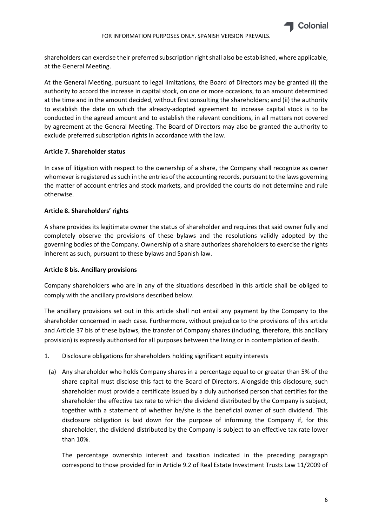

shareholders can exercise their preferred subscription right shall also be established, where applicable, at the General Meeting.

At the General Meeting, pursuant to legal limitations, the Board of Directors may be granted (i) the authority to accord the increase in capital stock, on one or more occasions, to an amount determined at the time and in the amount decided, without first consulting the shareholders; and (ii) the authority to establish the date on which the already‐adopted agreement to increase capital stock is to be conducted in the agreed amount and to establish the relevant conditions, in all matters not covered by agreement at the General Meeting. The Board of Directors may also be granted the authority to exclude preferred subscription rights in accordance with the law.

# **Article 7. Shareholder status**

In case of litigation with respect to the ownership of a share, the Company shall recognize as owner whomever is registered as such in the entries of the accounting records, pursuant to the laws governing the matter of account entries and stock markets, and provided the courts do not determine and rule otherwise.

# **Article 8. Shareholders' rights**

A share provides its legitimate owner the status of shareholder and requires that said owner fully and completely observe the provisions of these bylaws and the resolutions validly adopted by the governing bodies of the Company. Ownership of a share authorizes shareholders to exercise the rights inherent as such, pursuant to these bylaws and Spanish law.

#### **Article 8 bis. Ancillary provisions**

Company shareholders who are in any of the situations described in this article shall be obliged to comply with the ancillary provisions described below.

The ancillary provisions set out in this article shall not entail any payment by the Company to the shareholder concerned in each case. Furthermore, without prejudice to the provisions of this article and Article 37 bis of these bylaws, the transfer of Company shares (including, therefore, this ancillary provision) is expressly authorised for all purposes between the living or in contemplation of death.

- 1. Disclosure obligations for shareholders holding significant equity interests
	- (a) Any shareholder who holds Company shares in a percentage equal to or greater than 5% of the share capital must disclose this fact to the Board of Directors. Alongside this disclosure, such shareholder must provide a certificate issued by a duly authorised person that certifies for the shareholder the effective tax rate to which the dividend distributed by the Company is subject, together with a statement of whether he/she is the beneficial owner of such dividend. This disclosure obligation is laid down for the purpose of informing the Company if, for this shareholder, the dividend distributed by the Company is subject to an effective tax rate lower than 10%.

The percentage ownership interest and taxation indicated in the preceding paragraph correspond to those provided for in Article 9.2 of Real Estate Investment Trusts Law 11/2009 of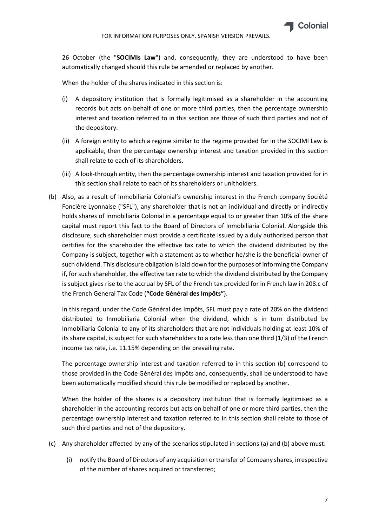

26 October (the "**SOCIMIs Law**") and, consequently, they are understood to have been automatically changed should this rule be amended or replaced by another.

When the holder of the shares indicated in this section is:

- (i) A depository institution that is formally legitimised as a shareholder in the accounting records but acts on behalf of one or more third parties, then the percentage ownership interest and taxation referred to in this section are those of such third parties and not of the depository.
- (ii) A foreign entity to which a regime similar to the regime provided for in the SOCIMI Law is applicable, then the percentage ownership interest and taxation provided in this section shall relate to each of its shareholders.
- (iii) A look‐through entity, then the percentage ownership interest and taxation provided for in this section shall relate to each of its shareholders or unitholders.
- (b) Also, as a result of Inmobiliaria Colonial's ownership interest in the French company Société Foncière Lyonnaise ("SFL"), any shareholder that is not an individual and directly or indirectly holds shares of Inmobiliaria Colonial in a percentage equal to or greater than 10% of the share capital must report this fact to the Board of Directors of Inmobiliaria Colonial. Alongside this disclosure, such shareholder must provide a certificate issued by a duly authorised person that certifies for the shareholder the effective tax rate to which the dividend distributed by the Company is subject, together with a statement as to whether he/she is the beneficial owner of such dividend. This disclosure obligation islaid down for the purposes of informing the Company if, for such shareholder, the effective tax rate to which the dividend distributed by the Company is subject gives rise to the accrual by SFL of the French tax provided for in French law in 208.c of the French General Tax Code (**"Code Général des Impôts"**).

In this regard, under the Code Général des Impôts, SFL must pay a rate of 20% on the dividend distributed to Inmobiliaria Colonial when the dividend, which is in turn distributed by Inmobiliaria Colonial to any of its shareholders that are not individuals holding at least 10% of its share capital, is subject for such shareholders to a rate less than one third (1/3) of the French income tax rate, i.e. 11.15% depending on the prevailing rate.

The percentage ownership interest and taxation referred to in this section (b) correspond to those provided in the Code Général des Impôts and, consequently, shall be understood to have been automatically modified should this rule be modified or replaced by another.

When the holder of the shares is a depository institution that is formally legitimised as a shareholder in the accounting records but acts on behalf of one or more third parties, then the percentage ownership interest and taxation referred to in this section shall relate to those of such third parties and not of the depository.

- (c) Any shareholder affected by any of the scenarios stipulated in sections (a) and (b) above must:
	- (i) notify the Board of Directors of any acquisition ortransfer of Company shares, irrespective of the number of shares acquired or transferred;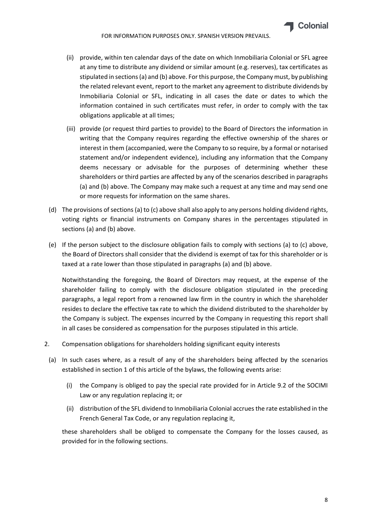

- (ii) provide, within ten calendar days of the date on which Inmobiliaria Colonial or SFL agree at any time to distribute any dividend or similar amount (e.g. reserves), tax certificates as stipulated in sections(a) and (b) above. Forthis purpose, the Company must, by publishing the related relevant event, report to the market any agreement to distribute dividends by Inmobiliaria Colonial or SFL, indicating in all cases the date or dates to which the information contained in such certificates must refer, in order to comply with the tax obligations applicable at all times;
- (iii) provide (or request third parties to provide) to the Board of Directors the information in writing that the Company requires regarding the effective ownership of the shares or interest in them (accompanied, were the Company to so require, by a formal or notarised statement and/or independent evidence), including any information that the Company deems necessary or advisable for the purposes of determining whether these shareholders or third parties are affected by any of the scenarios described in paragraphs (a) and (b) above. The Company may make such a request at any time and may send one or more requests for information on the same shares.
- (d) The provisions of sections (a) to (c) above shall also apply to any persons holding dividend rights, voting rights or financial instruments on Company shares in the percentages stipulated in sections (a) and (b) above.
- (e) If the person subject to the disclosure obligation fails to comply with sections (a) to (c) above, the Board of Directors shall consider that the dividend is exempt of tax for this shareholder or is taxed at a rate lower than those stipulated in paragraphs (a) and (b) above.

Notwithstanding the foregoing, the Board of Directors may request, at the expense of the shareholder failing to comply with the disclosure obligation stipulated in the preceding paragraphs, a legal report from a renowned law firm in the country in which the shareholder resides to declare the effective tax rate to which the dividend distributed to the shareholder by the Company is subject. The expenses incurred by the Company in requesting this report shall in all cases be considered as compensation for the purposes stipulated in this article.

- 2. Compensation obligations for shareholders holding significant equity interests
- (a) In such cases where, as a result of any of the shareholders being affected by the scenarios established in section 1 of this article of the bylaws, the following events arise:
	- (i) the Company is obliged to pay the special rate provided for in Article 9.2 of the SOCIMI Law or any regulation replacing it; or
	- (ii) distribution of the SFL dividend to Inmobiliaria Colonial accruesthe rate established in the French General Tax Code, or any regulation replacing it,

these shareholders shall be obliged to compensate the Company for the losses caused, as provided for in the following sections.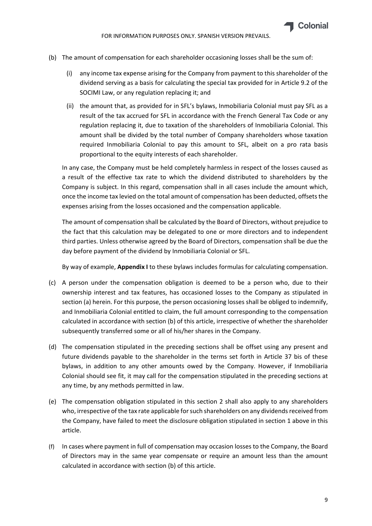- (b) The amount of compensation for each shareholder occasioning losses shall be the sum of:
	- (i) any income tax expense arising for the Company from payment to this shareholder of the dividend serving as a basis for calculating the special tax provided for in Article 9.2 of the SOCIMI Law, or any regulation replacing it; and
	- (ii) the amount that, as provided for in SFL's bylaws, Inmobiliaria Colonial must pay SFL as a result of the tax accrued for SFL in accordance with the French General Tax Code or any regulation replacing it, due to taxation of the shareholders of Inmobiliaria Colonial. This amount shall be divided by the total number of Company shareholders whose taxation required Inmobiliaria Colonial to pay this amount to SFL, albeit on a pro rata basis proportional to the equity interests of each shareholder.

In any case, the Company must be held completely harmless in respect of the losses caused as a result of the effective tax rate to which the dividend distributed to shareholders by the Company is subject. In this regard, compensation shall in all cases include the amount which, once the income tax levied on the total amount of compensation has been deducted, offsets the expenses arising from the losses occasioned and the compensation applicable.

The amount of compensation shall be calculated by the Board of Directors, without prejudice to the fact that this calculation may be delegated to one or more directors and to independent third parties. Unless otherwise agreed by the Board of Directors, compensation shall be due the day before payment of the dividend by Inmobiliaria Colonial or SFL.

By way of example, **Appendix I** to these bylaws includes formulas for calculating compensation.

- (c) A person under the compensation obligation is deemed to be a person who, due to their ownership interest and tax features, has occasioned losses to the Company as stipulated in section (a) herein. For this purpose, the person occasioning losses shall be obliged to indemnify, and Inmobiliaria Colonial entitled to claim, the full amount corresponding to the compensation calculated in accordance with section (b) of this article, irrespective of whether the shareholder subsequently transferred some or all of his/her shares in the Company.
- (d) The compensation stipulated in the preceding sections shall be offset using any present and future dividends payable to the shareholder in the terms set forth in Article 37 bis of these bylaws, in addition to any other amounts owed by the Company. However, if Inmobiliaria Colonial should see fit, it may call for the compensation stipulated in the preceding sections at any time, by any methods permitted in law.
- (e) The compensation obligation stipulated in this section 2 shall also apply to any shareholders who, irrespective of the tax rate applicable for such shareholders on any dividends received from the Company, have failed to meet the disclosure obligation stipulated in section 1 above in this article.
- (f) In cases where payment in full of compensation may occasion losses to the Company, the Board of Directors may in the same year compensate or require an amount less than the amount calculated in accordance with section (b) of this article.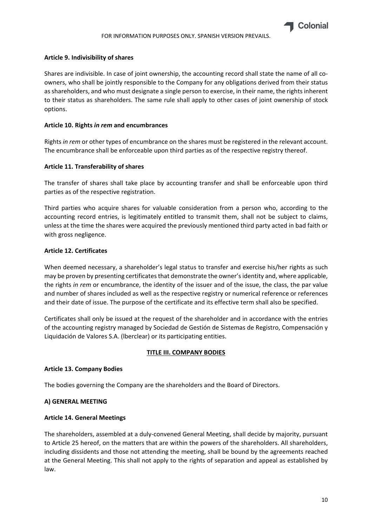#### **Article 9. Indivisibility of shares**

Shares are indivisible. In case of joint ownership, the accounting record shall state the name of all co‐ owners, who shall be jointly responsible to the Company for any obligations derived from their status as shareholders, and who must designate a single person to exercise, in their name, the rights inherent to their status as shareholders. The same rule shall apply to other cases of joint ownership of stock options.

#### **Article 10. Rights** *in rem* **and encumbrances**

Rights *in rem* or other types of encumbrance on the shares must be registered in the relevant account. The encumbrance shall be enforceable upon third parties as of the respective registry thereof.

# **Article 11. Transferability of shares**

The transfer of shares shall take place by accounting transfer and shall be enforceable upon third parties as of the respective registration.

Third parties who acquire shares for valuable consideration from a person who, according to the accounting record entries, is legitimately entitled to transmit them, shall not be subject to claims, unless at the time the shares were acquired the previously mentioned third party acted in bad faith or with gross negligence.

# **Article 12. Certificates**

When deemed necessary, a shareholder's legal status to transfer and exercise his/her rights as such may be proven by presenting certificates that demonstrate the owner's identity and, where applicable, the rights *in rem* or encumbrance, the identity of the issuer and of the issue, the class, the par value and number of shares included as well as the respective registry or numerical reference or references and their date of issue. The purpose of the certificate and its effective term shall also be specified.

Certificates shall only be issued at the request of the shareholder and in accordance with the entries of the accounting registry managed by Sociedad de Gestión de Sistemas de Registro, Compensación y Liquidación de Valores S.A. (lberclear) or its participating entities.

#### **TITLE III. COMPANY BODIES**

#### **Article 13. Company Bodies**

The bodies governing the Company are the shareholders and the Board of Directors.

#### **A) GENERAL MEETING**

#### **Article 14. General Meetings**

The shareholders, assembled at a duly‐convened General Meeting, shall decide by majority, pursuant to Article 25 hereof, on the matters that are within the powers of the shareholders. All shareholders, including dissidents and those not attending the meeting, shall be bound by the agreements reached at the General Meeting. This shall not apply to the rights of separation and appeal as established by law.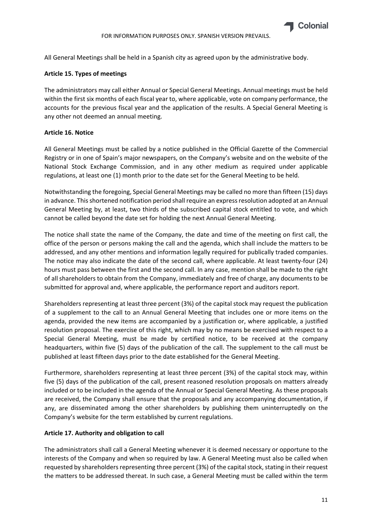

All General Meetings shall be held in a Spanish city as agreed upon by the administrative body.

#### **Article 15. Types of meetings**

The administrators may call either Annual or Special General Meetings. Annual meetings must be held within the first six months of each fiscal year to, where applicable, vote on company performance, the accounts for the previous fiscal year and the application of the results. A Special General Meeting is any other not deemed an annual meeting.

# **Article 16. Notice**

All General Meetings must be called by a notice published in the Official Gazette of the Commercial Registry or in one of Spain's major newspapers, on the Company's website and on the website of the National Stock Exchange Commission, and in any other medium as required under applicable regulations, at least one (1) month prior to the date set for the General Meeting to be held.

Notwithstanding the foregoing, Special General Meetings may be called no more than fifteen (15) days in advance. Thisshortened notification period shall require an expressresolution adopted at an Annual General Meeting by, at least, two thirds of the subscribed capital stock entitled to vote, and which cannot be called beyond the date set for holding the next Annual General Meeting.

The notice shall state the name of the Company, the date and time of the meeting on first call, the office of the person or persons making the call and the agenda, which shall include the matters to be addressed, and any other mentions and information legally required for publically traded companies. The notice may also indicate the date of the second call, where applicable. At least twenty‐four (24) hours must pass between the first and the second call. In any case, mention shall be made to the right of all shareholders to obtain from the Company, immediately and free of charge, any documents to be submitted for approval and, where applicable, the performance report and auditors report.

Shareholders representing at least three percent (3%) of the capital stock may request the publication of a supplement to the call to an Annual General Meeting that includes one or more items on the agenda, provided the new items are accompanied by a justification or, where applicable, a justified resolution proposal. The exercise of this right, which may by no means be exercised with respect to a Special General Meeting, must be made by certified notice, to be received at the company headquarters, within five (5) days of the publication of the call. The supplement to the call must be published at least fifteen days prior to the date established for the General Meeting.

Furthermore, shareholders representing at least three percent (3%) of the capital stock may, within five (5) days of the publication of the call, present reasoned resolution proposals on matters already included or to be included in the agenda of the Annual or Special General Meeting. As these proposals are received, the Company shall ensure that the proposals and any accompanying documentation, if any, are disseminated among the other shareholders by publishing them uninterruptedly on the Company's website for the term established by current regulations.

#### **Article 17. Authority and obligation to call**

The administrators shall call a General Meeting whenever it is deemed necessary or opportune to the interests of the Company and when so required by law. A General Meeting must also be called when requested by shareholders representing three percent (3%) of the capital stock, stating in their request the matters to be addressed thereat. In such case, a General Meeting must be called within the term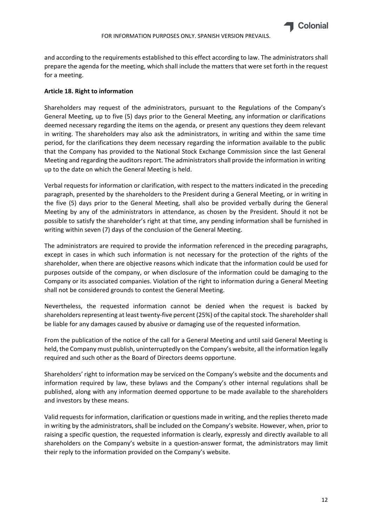

and according to the requirements established to this effect according to law. The administrators shall prepare the agenda for the meeting, which shall include the matters that were set forth in the request for a meeting.

# **Article 18. Right to information**

Shareholders may request of the administrators, pursuant to the Regulations of the Company's General Meeting, up to five (5) days prior to the General Meeting, any information or clarifications deemed necessary regarding the items on the agenda, or present any questions they deem relevant in writing. The shareholders may also ask the administrators, in writing and within the same time period, for the clarifications they deem necessary regarding the information available to the public that the Company has provided to the National Stock Exchange Commission since the last General Meeting and regarding the auditors report. The administrators shall provide the information in writing up to the date on which the General Meeting is held.

Verbal requests for information or clarification, with respect to the matters indicated in the preceding paragraph, presented by the shareholders to the President during a General Meeting, or in writing in the five (5) days prior to the General Meeting, shall also be provided verbally during the General Meeting by any of the administrators in attendance, as chosen by the President. Should it not be possible to satisfy the shareholder's right at that time, any pending information shall be furnished in writing within seven (7) days of the conclusion of the General Meeting.

The administrators are required to provide the information referenced in the preceding paragraphs, except in cases in which such information is not necessary for the protection of the rights of the shareholder, when there are objective reasons which indicate that the information could be used for purposes outside of the company, or when disclosure of the information could be damaging to the Company or its associated companies. Violation of the right to information during a General Meeting shall not be considered grounds to contest the General Meeting.

Nevertheless, the requested information cannot be denied when the request is backed by shareholders representing at least twenty-five percent (25%) of the capital stock. The shareholder shall be liable for any damages caused by abusive or damaging use of the requested information.

From the publication of the notice of the call for a General Meeting and until said General Meeting is held, the Company must publish, uninterruptedly on the Company's website, all the information legally required and such other as the Board of Directors deems opportune.

Shareholders' right to information may be serviced on the Company's website and the documents and information required by law, these bylaws and the Company's other internal regulations shall be published, along with any information deemed opportune to be made available to the shareholders and investors by these means.

Valid requestsfor information, clarification or questions made in writing, and the replies thereto made in writing by the administrators, shall be included on the Company's website. However, when, prior to raising a specific question, the requested information is clearly, expressly and directly available to all shareholders on the Company's website in a question-answer format, the administrators may limit their reply to the information provided on the Company's website.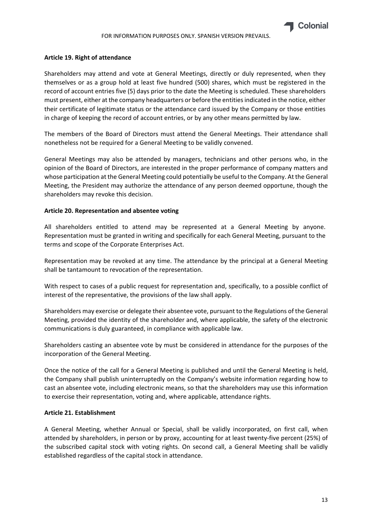

#### **Article 19. Right of attendance**

Shareholders may attend and vote at General Meetings, directly or duly represented, when they themselves or as a group hold at least five hundred (500) shares, which must be registered in the record of account entries five (5) days prior to the date the Meeting is scheduled. These shareholders must present, either at the company headquarters or before the entitiesindicated in the notice, either their certificate of legitimate status or the attendance card issued by the Company or those entities in charge of keeping the record of account entries, or by any other means permitted by law.

The members of the Board of Directors must attend the General Meetings. Their attendance shall nonetheless not be required for a General Meeting to be validly convened.

General Meetings may also be attended by managers, technicians and other persons who, in the opinion of the Board of Directors, are interested in the proper performance of company matters and whose participation at the General Meeting could potentially be useful to the Company. At the General Meeting, the President may authorize the attendance of any person deemed opportune, though the shareholders may revoke this decision.

#### **Article 20. Representation and absentee voting**

All shareholders entitled to attend may be represented at a General Meeting by anyone. Representation must be granted in writing and specifically for each General Meeting, pursuant to the terms and scope of the Corporate Enterprises Act.

Representation may be revoked at any time. The attendance by the principal at a General Meeting shall be tantamount to revocation of the representation.

With respect to cases of a public request for representation and, specifically, to a possible conflict of interest of the representative, the provisions of the law shall apply.

Shareholders may exercise or delegate their absentee vote, pursuant to the Regulations of the General Meeting, provided the identity of the shareholder and, where applicable, the safety of the electronic communications is duly guaranteed, in compliance with applicable law.

Shareholders casting an absentee vote by must be considered in attendance for the purposes of the incorporation of the General Meeting.

Once the notice of the call for a General Meeting is published and until the General Meeting is held, the Company shall publish uninterruptedly on the Company's website information regarding how to cast an absentee vote, including electronic means, so that the shareholders may use this information to exercise their representation, voting and, where applicable, attendance rights.

#### **Article 21. Establishment**

A General Meeting, whether Annual or Special, shall be validly incorporated, on first call, when attended by shareholders, in person or by proxy, accounting for at least twenty‐five percent (25%) of the subscribed capital stock with voting rights. On second call, a General Meeting shall be validly established regardless of the capital stock in attendance.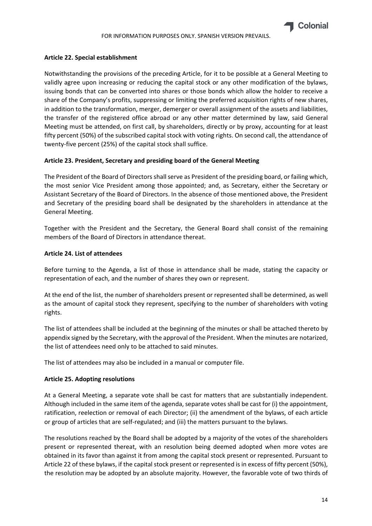

#### **Article 22. Special establishment**

Notwithstanding the provisions of the preceding Article, for it to be possible at a General Meeting to validly agree upon increasing or reducing the capital stock or any other modification of the bylaws, issuing bonds that can be converted into shares or those bonds which allow the holder to receive a share of the Company's profits, suppressing or limiting the preferred acquisition rights of new shares, in addition to the transformation, merger, demerger or overall assignment of the assets and liabilities, the transfer of the registered office abroad or any other matter determined by law, said General Meeting must be attended, on first call, by shareholders, directly or by proxy, accounting for at least fifty percent (50%) of the subscribed capital stock with voting rights. On second call, the attendance of twenty‐five percent (25%) of the capital stock shall suffice.

# **Article 23. President, Secretary and presiding board of the General Meeting**

The President of the Board of Directorsshallserve as President of the presiding board, or failing which, the most senior Vice President among those appointed; and, as Secretary, either the Secretary or Assistant Secretary of the Board of Directors. In the absence of those mentioned above, the President and Secretary of the presiding board shall be designated by the shareholders in attendance at the General Meeting.

Together with the President and the Secretary, the General Board shall consist of the remaining members of the Board of Directors in attendance thereat.

#### **Article 24. List of attendees**

Before turning to the Agenda, a list of those in attendance shall be made, stating the capacity or representation of each, and the number of shares they own or represent.

At the end of the list, the number of shareholders present or represented shall be determined, as well as the amount of capital stock they represent, specifying to the number of shareholders with voting rights.

The list of attendees shall be included at the beginning of the minutes or shall be attached thereto by appendix signed by the Secretary, with the approval of the President. When the minutes are notarized, the list of attendees need only to be attached to said minutes.

The list of attendees may also be included in a manual or computer file.

#### **Article 25. Adopting resolutions**

At a General Meeting, a separate vote shall be cast for matters that are substantially independent. Although included in the same item of the agenda, separate votes shall be cast for (i) the appointment, ratification, reelection or removal of each Director; (ii) the amendment of the bylaws, of each article or group of articles that are self‐regulated; and (iii) the matters pursuant to the bylaws.

The resolutions reached by the Board shall be adopted by a majority of the votes of the shareholders present or represented thereat, with an resolution being deemed adopted when more votes are obtained in its favor than against it from among the capital stock present or represented. Pursuant to Article 22 of these bylaws, if the capital stock present or represented is in excess of fifty percent (50%), the resolution may be adopted by an absolute majority. However, the favorable vote of two thirds of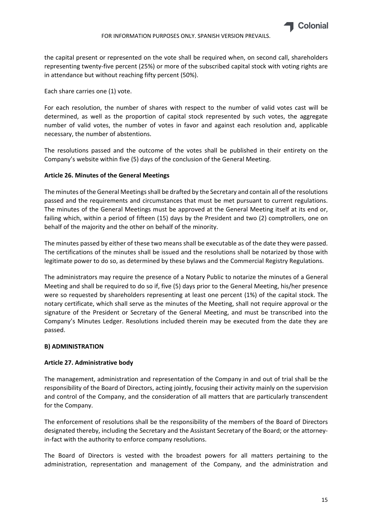

the capital present or represented on the vote shall be required when, on second call, shareholders representing twenty‐five percent (25%) or more of the subscribed capital stock with voting rights are in attendance but without reaching fifty percent (50%).

Each share carries one (1) vote.

For each resolution, the number of shares with respect to the number of valid votes cast will be determined, as well as the proportion of capital stock represented by such votes, the aggregate number of valid votes, the number of votes in favor and against each resolution and, applicable necessary, the number of abstentions.

The resolutions passed and the outcome of the votes shall be published in their entirety on the Company's website within five (5) days of the conclusion of the General Meeting.

# **Article 26. Minutes of the General Meetings**

The minutes of the General Meetingsshall be drafted by the Secretary and contain all of the resolutions passed and the requirements and circumstances that must be met pursuant to current regulations. The minutes of the General Meetings must be approved at the General Meeting itself at its end or, failing which, within a period of fifteen (15) days by the President and two (2) comptrollers, one on behalf of the majority and the other on behalf of the minority.

The minutes passed by either of these two means shall be executable as of the date they were passed. The certifications of the minutes shall be issued and the resolutions shall be notarized by those with legitimate power to do so, as determined by these bylaws and the Commercial Registry Regulations.

The administrators may require the presence of a Notary Public to notarize the minutes of a General Meeting and shall be required to do so if, five (5) days prior to the General Meeting, his/her presence were so requested by shareholders representing at least one percent (1%) of the capital stock. The notary certificate, which shall serve as the minutes of the Meeting, shall not require approval or the signature of the President or Secretary of the General Meeting, and must be transcribed into the Company's Minutes Ledger. Resolutions included therein may be executed from the date they are passed.

#### **B) ADMINISTRATION**

# **Article 27. Administrative body**

The management, administration and representation of the Company in and out of trial shall be the responsibility of the Board of Directors, acting jointly, focusing their activity mainly on the supervision and control of the Company, and the consideration of all matters that are particularly transcendent for the Company.

The enforcement of resolutions shall be the responsibility of the members of the Board of Directors designated thereby, including the Secretary and the Assistant Secretary of the Board; or the attorney‐ in-fact with the authority to enforce company resolutions.

The Board of Directors is vested with the broadest powers for all matters pertaining to the administration, representation and management of the Company, and the administration and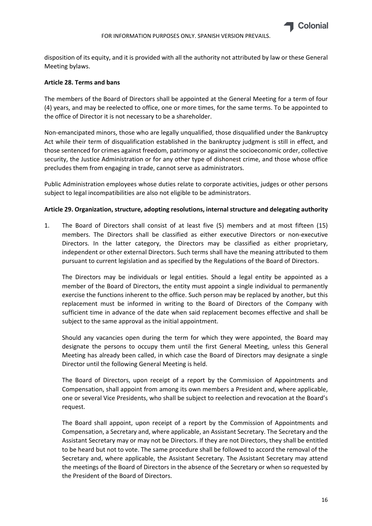disposition of its equity, and it is provided with all the authority not attributed by law or these General Meeting bylaws.

#### **Article 28. Terms and bans**

The members of the Board of Directors shall be appointed at the General Meeting for a term of four (4) years, and may be reelected to office, one or more times, for the same terms. To be appointed to the office of Director it is not necessary to be a shareholder.

Non‐emancipated minors, those who are legally unqualified, those disqualified under the Bankruptcy Act while their term of disqualification established in the bankruptcy judgment is still in effect, and those sentenced for crimes against freedom, patrimony or against the socioeconomic order, collective security, the Justice Administration or for any other type of dishonest crime, and those whose office precludes them from engaging in trade, cannot serve as administrators.

Public Administration employees whose duties relate to corporate activities, judges or other persons subject to legal incompatibilities are also not eligible to be administrators.

#### **Article 29. Organization, structure, adopting resolutions, internal structure and delegating authority**

1. The Board of Directors shall consist of at least five (5) members and at most fifteen (15) members. The Directors shall be classified as either executive Directors or non‐executive Directors. In the latter category, the Directors may be classified as either proprietary, independent or other external Directors. Such terms shall have the meaning attributed to them pursuant to current legislation and as specified by the Regulations of the Board of Directors.

The Directors may be individuals or legal entities. Should a legal entity be appointed as a member of the Board of Directors, the entity must appoint a single individual to permanently exercise the functions inherent to the office. Such person may be replaced by another, but this replacement must be informed in writing to the Board of Directors of the Company with sufficient time in advance of the date when said replacement becomes effective and shall be subject to the same approval as the initial appointment.

Should any vacancies open during the term for which they were appointed, the Board may designate the persons to occupy them until the first General Meeting, unless this General Meeting has already been called, in which case the Board of Directors may designate a single Director until the following General Meeting is held.

The Board of Directors, upon receipt of a report by the Commission of Appointments and Compensation, shall appoint from among its own members a President and, where applicable, one or several Vice Presidents, who shall be subject to reelection and revocation at the Board's request.

The Board shall appoint, upon receipt of a report by the Commission of Appointments and Compensation, a Secretary and, where applicable, an Assistant Secretary. The Secretary and the Assistant Secretary may or may not be Directors. If they are not Directors, they shall be entitled to be heard but not to vote. The same procedure shall be followed to accord the removal of the Secretary and, where applicable, the Assistant Secretary. The Assistant Secretary may attend the meetings of the Board of Directors in the absence of the Secretary or when so requested by the President of the Board of Directors.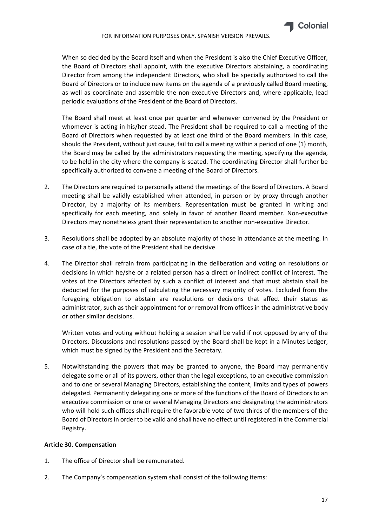

When so decided by the Board itself and when the President is also the Chief Executive Officer, the Board of Directors shall appoint, with the executive Directors abstaining, a coordinating Director from among the independent Directors, who shall be specially authorized to call the Board of Directors or to include new items on the agenda of a previously called Board meeting, as well as coordinate and assemble the non‐executive Directors and, where applicable, lead periodic evaluations of the President of the Board of Directors.

The Board shall meet at least once per quarter and whenever convened by the President or whomever is acting in his/her stead. The President shall be required to call a meeting of the Board of Directors when requested by at least one third of the Board members. In this case, should the President, without just cause, fail to call a meeting within a period of one (1) month, the Board may be called by the administrators requesting the meeting, specifying the agenda, to be held in the city where the company is seated. The coordinating Director shall further be specifically authorized to convene a meeting of the Board of Directors.

- 2. The Directors are required to personally attend the meetings of the Board of Directors. A Board meeting shall be validly established when attended, in person or by proxy through another Director, by a majority of its members. Representation must be granted in writing and specifically for each meeting, and solely in favor of another Board member. Non-executive Directors may nonetheless grant their representation to another non‐executive Director.
- 3. Resolutions shall be adopted by an absolute majority of those in attendance at the meeting. In case of a tie, the vote of the President shall be decisive.
- 4. The Director shall refrain from participating in the deliberation and voting on resolutions or decisions in which he/she or a related person has a direct or indirect conflict of interest. The votes of the Directors affected by such a conflict of interest and that must abstain shall be deducted for the purposes of calculating the necessary majority of votes. Excluded from the foregoing obligation to abstain are resolutions or decisions that affect their status as administrator, such as their appointment for or removal from offices in the administrative body or other similar decisions.

Written votes and voting without holding a session shall be valid if not opposed by any of the Directors. Discussions and resolutions passed by the Board shall be kept in a Minutes Ledger, which must be signed by the President and the Secretary.

5. Notwithstanding the powers that may be granted to anyone, the Board may permanently delegate some or all of its powers, other than the legal exceptions, to an executive commission and to one or several Managing Directors, establishing the content, limits and types of powers delegated. Permanently delegating one or more of the functions of the Board of Directors to an executive commission or one or several Managing Directors and designating the administrators who will hold such offices shall require the favorable vote of two thirds of the members of the Board of Directors in order to be valid and shall have no effect until registered in the Commercial Registry.

# **Article 30. Compensation**

- 1. The office of Director shall be remunerated.
- 2. The Company's compensation system shall consist of the following items: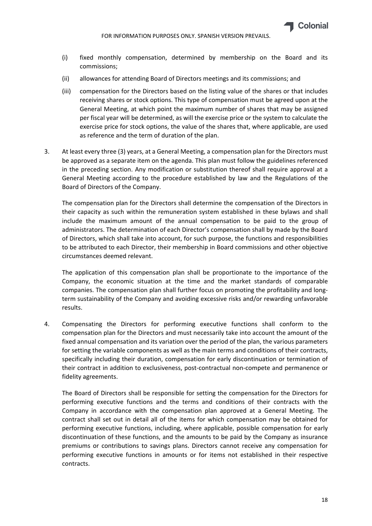

- (i) fixed monthly compensation, determined by membership on the Board and its commissions;
- (ii) allowances for attending Board of Directors meetings and its commissions; and
- (iii) compensation for the Directors based on the listing value of the shares or that includes receiving shares or stock options. This type of compensation must be agreed upon at the General Meeting, at which point the maximum number of shares that may be assigned per fiscal year will be determined, as will the exercise price or the system to calculate the exercise price for stock options, the value of the shares that, where applicable, are used as reference and the term of duration of the plan.
- 3. At least every three (3) years, at a General Meeting, a compensation plan for the Directors must be approved as a separate item on the agenda. This plan must follow the guidelines referenced in the preceding section. Any modification or substitution thereof shall require approval at a General Meeting according to the procedure established by law and the Regulations of the Board of Directors of the Company.

The compensation plan for the Directors shall determine the compensation of the Directors in their capacity as such within the remuneration system established in these bylaws and shall include the maximum amount of the annual compensation to be paid to the group of administrators. The determination of each Director's compensation shall by made by the Board of Directors, which shall take into account, for such purpose, the functions and responsibilities to be attributed to each Director, their membership in Board commissions and other objective circumstances deemed relevant.

The application of this compensation plan shall be proportionate to the importance of the Company, the economic situation at the time and the market standards of comparable companies. The compensation plan shall further focus on promoting the profitability and long‐ term sustainability of the Company and avoiding excessive risks and/or rewarding unfavorable results.

4. Compensating the Directors for performing executive functions shall conform to the compensation plan for the Directors and must necessarily take into account the amount of the fixed annual compensation and its variation over the period of the plan, the various parameters for setting the variable components as well as the main terms and conditions of their contracts, specifically including their duration, compensation for early discontinuation or termination of their contract in addition to exclusiveness, post‐contractual non‐compete and permanence or fidelity agreements.

The Board of Directors shall be responsible for setting the compensation for the Directors for performing executive functions and the terms and conditions of their contracts with the Company in accordance with the compensation plan approved at a General Meeting. The contract shall set out in detail all of the items for which compensation may be obtained for performing executive functions, including, where applicable, possible compensation for early discontinuation of these functions, and the amounts to be paid by the Company as insurance premiums or contributions to savings plans. Directors cannot receive any compensation for performing executive functions in amounts or for items not established in their respective contracts.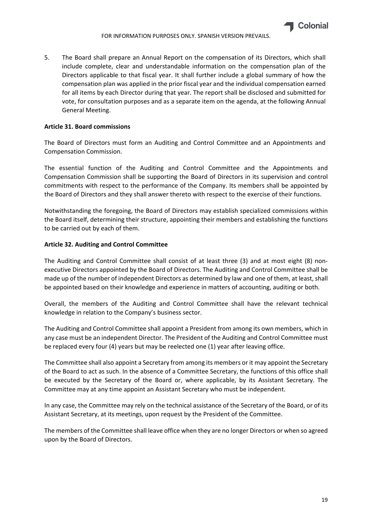5. The Board shall prepare an Annual Report on the compensation of its Directors, which shall include complete, clear and understandable information on the compensation plan of the Directors applicable to that fiscal year. It shall further include a global summary of how the compensation plan was applied in the prior fiscal year and the individual compensation earned for all items by each Director during that year. The report shall be disclosed and submitted for vote, for consultation purposes and as a separate item on the agenda, at the following Annual General Meeting.

# **Article 31. Board commissions**

The Board of Directors must form an Auditing and Control Committee and an Appointments and Compensation Commission.

The essential function of the Auditing and Control Committee and the Appointments and Compensation Commission shall be supporting the Board of Directors in its supervision and control commitments with respect to the performance of the Company. Its members shall be appointed by the Board of Directors and they shall answer thereto with respect to the exercise of their functions.

Notwithstanding the foregoing, the Board of Directors may establish specialized commissions within the Board itself, determining their structure, appointing their members and establishing the functions to be carried out by each of them.

# **Article 32. Auditing and Control Committee**

The Auditing and Control Committee shall consist of at least three (3) and at most eight (8) non‐ executive Directors appointed by the Board of Directors. The Auditing and Control Committee shall be made up of the number of independent Directors as determined by law and one of them, at least, shall be appointed based on their knowledge and experience in matters of accounting, auditing or both.

Overall, the members of the Auditing and Control Committee shall have the relevant technical knowledge in relation to the Company's business sector.

The Auditing and Control Committee shall appoint a President from among its own members, which in any case must be an independent Director. The President of the Auditing and Control Committee must be replaced every four (4) years but may be reelected one (1) year after leaving office.

The Committee shall also appoint a Secretary from among its members or it may appoint the Secretary of the Board to act as such. In the absence of a Committee Secretary, the functions of this office shall be executed by the Secretary of the Board or, where applicable, by its Assistant Secretary. The Committee may at any time appoint an Assistant Secretary who must be independent.

In any case, the Committee may rely on the technical assistance of the Secretary of the Board, or of its Assistant Secretary, at its meetings, upon request by the President of the Committee.

The members of the Committee shall leave office when they are no longer Directors or when so agreed upon by the Board of Directors.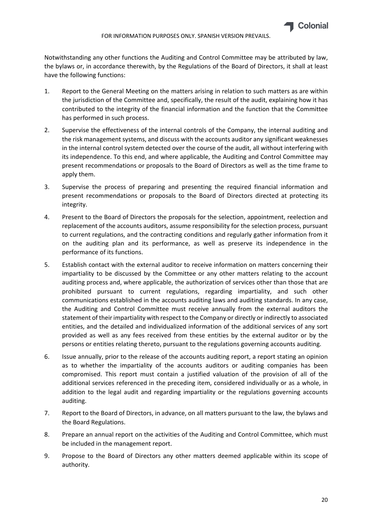Notwithstanding any other functions the Auditing and Control Committee may be attributed by law, the bylaws or, in accordance therewith, by the Regulations of the Board of Directors, it shall at least have the following functions:

- 1. Report to the General Meeting on the matters arising in relation to such matters as are within the jurisdiction of the Committee and, specifically, the result of the audit, explaining how it has contributed to the integrity of the financial information and the function that the Committee has performed in such process.
- 2. Supervise the effectiveness of the internal controls of the Company, the internal auditing and the risk management systems, and discuss with the accounts auditor any significant weaknesses in the internal control system detected over the course of the audit, all without interfering with its independence. To this end, and where applicable, the Auditing and Control Committee may present recommendations or proposals to the Board of Directors as well as the time frame to apply them.
- 3. Supervise the process of preparing and presenting the required financial information and present recommendations or proposals to the Board of Directors directed at protecting its integrity.
- 4. Present to the Board of Directors the proposals for the selection, appointment, reelection and replacement of the accounts auditors, assume responsibility for the selection process, pursuant to current regulations, and the contracting conditions and regularly gather information from it on the auditing plan and its performance, as well as preserve its independence in the performance of its functions.
- 5. Establish contact with the external auditor to receive information on matters concerning their impartiality to be discussed by the Committee or any other matters relating to the account auditing process and, where applicable, the authorization of services other than those that are prohibited pursuant to current regulations, regarding impartiality, and such other communications established in the accounts auditing laws and auditing standards. In any case, the Auditing and Control Committee must receive annually from the external auditors the statement of their impartiality with respect to the Company or directly or indirectly to associated entities, and the detailed and individualized information of the additional services of any sort provided as well as any fees received from these entities by the external auditor or by the persons or entities relating thereto, pursuant to the regulations governing accounts auditing.
- 6. Issue annually, prior to the release of the accounts auditing report, a report stating an opinion as to whether the impartiality of the accounts auditors or auditing companies has been compromised. This report must contain a justified valuation of the provision of all of the additional services referenced in the preceding item, considered individually or as a whole, in addition to the legal audit and regarding impartiality or the regulations governing accounts auditing.
- 7. Report to the Board of Directors, in advance, on all matters pursuant to the law, the bylaws and the Board Regulations.
- 8. Prepare an annual report on the activities of the Auditing and Control Committee, which must be included in the management report.
- 9. Propose to the Board of Directors any other matters deemed applicable within its scope of authority.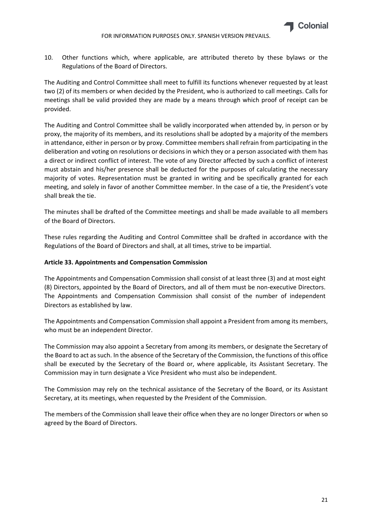

10. Other functions which, where applicable, are attributed thereto by these bylaws or the Regulations of the Board of Directors.

The Auditing and Control Committee shall meet to fulfill its functions whenever requested by at least two (2) of its members or when decided by the President, who is authorized to call meetings. Calls for meetings shall be valid provided they are made by a means through which proof of receipt can be provided.

The Auditing and Control Committee shall be validly incorporated when attended by, in person or by proxy, the majority of its members, and its resolutions shall be adopted by a majority of the members in attendance, either in person or by proxy. Committee members shall refrain from participating in the deliberation and voting on resolutions or decisions in which they or a person associated with them has a direct or indirect conflict of interest. The vote of any Director affected by such a conflict of interest must abstain and his/her presence shall be deducted for the purposes of calculating the necessary majority of votes. Representation must be granted in writing and be specifically granted for each meeting, and solely in favor of another Committee member. In the case of a tie, the President's vote shall break the tie.

The minutes shall be drafted of the Committee meetings and shall be made available to all members of the Board of Directors.

These rules regarding the Auditing and Control Committee shall be drafted in accordance with the Regulations of the Board of Directors and shall, at all times, strive to be impartial.

#### **Article 33. Appointments and Compensation Commission**

The Appointments and Compensation Commission shall consist of at least three (3) and at most eight (8) Directors, appointed by the Board of Directors, and all of them must be non‐executive Directors. The Appointments and Compensation Commission shall consist of the number of independent Directors as established by law.

The Appointments and Compensation Commission shall appoint a President from among its members, who must be an independent Director.

The Commission may also appoint a Secretary from among its members, or designate the Secretary of the Board to act assuch. In the absence of the Secretary of the Commission, the functions of this office shall be executed by the Secretary of the Board or, where applicable, its Assistant Secretary. The Commission may in turn designate a Vice President who must also be independent.

The Commission may rely on the technical assistance of the Secretary of the Board, or its Assistant Secretary, at its meetings, when requested by the President of the Commission.

The members of the Commission shall leave their office when they are no longer Directors or when so agreed by the Board of Directors.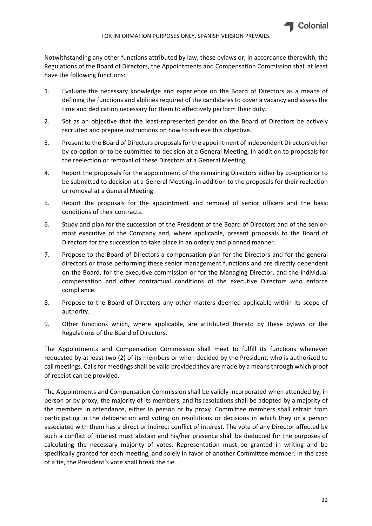

Notwithstanding any other functions attributed by law, these bylaws or, in accordance therewith, the Regulations of the Board of Directors, the Appointments and Compensation Commission shall at least have the following functions:

- 1. Evaluate the necessary knowledge and experience on the Board of Directors as a means of defining the functions and abilities required of the candidates to cover a vacancy and assess the time and dedication necessary for them to effectively perform their duty.
- 2. Set as an objective that the least-represented gender on the Board of Directors be actively recruited and prepare instructions on how to achieve this objective.
- 3. Present to the Board of Directors proposals for the appointment of independent Directors either by co‐option or to be submitted to decision at a General Meeting, in addition to proposals for the reelection or removal of these Directors at a General Meeting.
- 4. Report the proposals for the appointment of the remaining Directors either by co-option or to be submitted to decision at a General Meeting, in addition to the proposals for their reelection or removal at a General Meeting.
- 5. Report the proposals for the appointment and removal of senior officers and the basic conditions of their contracts.
- 6. Study and plan for the succession of the President of the Board of Directors and of the senior‐ most executive of the Company and, where applicable, present proposals to the Board of Directors for the succession to take place in an orderly and planned manner.
- 7. Propose to the Board of Directors a compensation plan for the Directors and for the general directors or those performing these senior management functions and are directly dependent on the Board, for the executive commission or for the Managing Director, and the individual compensation and other contractual conditions of the executive Directors who enforce compliance.
- 8. Propose to the Board of Directors any other matters deemed applicable within its scope of authority.
- 9. Other functions which, where applicable, are attributed thereto by these bylaws or the Regulations of the Board of Directors.

The Appointments and Compensation Commission shall meet to fulfill its functions whenever requested by at least two (2) of its members or when decided by the President, who is authorized to call meetings. Calls for meetings shall be valid provided they are made by a means through which proof of receipt can be provided.

The Appointments and Compensation Commission shall be validly incorporated when attended by, in person or by proxy, the majority of its members, and its resolutions shall be adopted by a majority of the members in attendance, either in person or by proxy. Committee members shall refrain from participating in the deliberation and voting on resolutions or decisions in which they or a person associated with them has a direct or indirect conflict of interest. The vote of any Director affected by such a conflict of interest must abstain and his/her presence shall be deducted for the purposes of calculating the necessary majority of votes. Representation must be granted in writing and be specifically granted for each meeting, and solely in favor of another Committee member. In the case of a tie, the President's vote shall break the tie.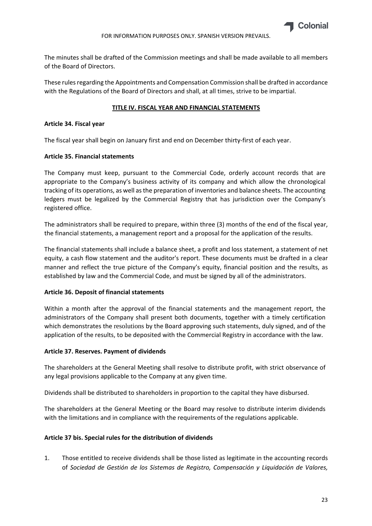

The minutes shall be drafted of the Commission meetings and shall be made available to all members of the Board of Directors.

These rules regarding the Appointments and Compensation Commission shall be drafted in accordance with the Regulations of the Board of Directors and shall, at all times, strive to be impartial.

#### **TITLE IV. FISCAL YEAR AND FINANCIAL STATEMENTS**

#### **Article 34. Fiscal year**

The fiscal year shall begin on January first and end on December thirty-first of each year.

#### **Article 35. Financial statements**

The Company must keep, pursuant to the Commercial Code, orderly account records that are appropriate to the Company's business activity of its company and which allow the chronological tracking of its operations, as well asthe preparation of inventories and balance sheets. The accounting ledgers must be legalized by the Commercial Registry that has jurisdiction over the Company's registered office.

The administrators shall be required to prepare, within three (3) months of the end of the fiscal year, the financial statements, a management report and a proposal for the application of the results.

The financial statements shall include a balance sheet, a profit and loss statement, a statement of net equity, a cash flow statement and the auditor's report. These documents must be drafted in a clear manner and reflect the true picture of the Company's equity, financial position and the results, as established by law and the Commercial Code, and must be signed by all of the administrators.

#### **Article 36. Deposit of financial statements**

Within a month after the approval of the financial statements and the management report, the administrators of the Company shall present both documents, together with a timely certification which demonstrates the resolutions by the Board approving such statements, duly signed, and of the application of the results, to be deposited with the Commercial Registry in accordance with the law.

#### **Article 37. Reserves. Payment of dividends**

The shareholders at the General Meeting shall resolve to distribute profit, with strict observance of any legal provisions applicable to the Company at any given time.

Dividends shall be distributed to shareholders in proportion to the capital they have disbursed.

The shareholders at the General Meeting or the Board may resolve to distribute interim dividends with the limitations and in compliance with the requirements of the regulations applicable.

#### **Article 37 bis. Special rules for the distribution of dividends**

1. Those entitled to receive dividends shall be those listed as legitimate in the accounting records of *Sociedad de Gestión de los Sistemas de Registro, Compensación y Liquidación de Valores,*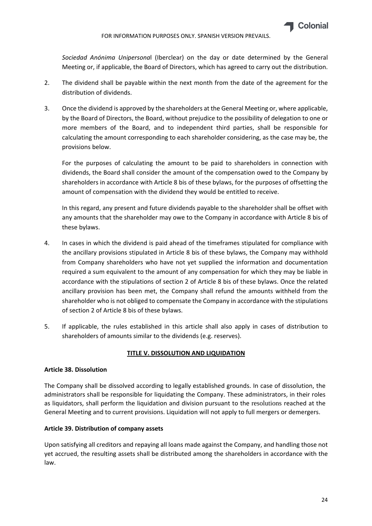

*Sociedad Anónima Unipersona*l (Iberclear) on the day or date determined by the General Meeting or, if applicable, the Board of Directors, which has agreed to carry out the distribution.

- 2. The dividend shall be payable within the next month from the date of the agreement for the distribution of dividends.
- 3. Once the dividend is approved by the shareholders at the General Meeting or, where applicable, by the Board of Directors, the Board, without prejudice to the possibility of delegation to one or more members of the Board, and to independent third parties, shall be responsible for calculating the amount corresponding to each shareholder considering, as the case may be, the provisions below.

For the purposes of calculating the amount to be paid to shareholders in connection with dividends, the Board shall consider the amount of the compensation owed to the Company by shareholders in accordance with Article 8 bis of these bylaws, for the purposes of offsetting the amount of compensation with the dividend they would be entitled to receive.

In this regard, any present and future dividends payable to the shareholder shall be offset with any amounts that the shareholder may owe to the Company in accordance with Article 8 bis of these bylaws.

- 4. In cases in which the dividend is paid ahead of the timeframes stipulated for compliance with the ancillary provisions stipulated in Article 8 bis of these bylaws, the Company may withhold from Company shareholders who have not yet supplied the information and documentation required a sum equivalent to the amount of any compensation for which they may be liable in accordance with the stipulations of section 2 of Article 8 bis of these bylaws. Once the related ancillary provision has been met, the Company shall refund the amounts withheld from the shareholder who is not obliged to compensate the Company in accordance with the stipulations of section 2 of Article 8 bis of these bylaws.
- 5. If applicable, the rules established in this article shall also apply in cases of distribution to shareholders of amounts similar to the dividends (e.g. reserves).

# **TITLE V. DISSOLUTION AND LIQUIDATION**

#### **Article 38. Dissolution**

The Company shall be dissolved according to legally established grounds. In case of dissolution, the administrators shall be responsible for liquidating the Company. These administrators, in their roles as liquidators, shall perform the liquidation and division pursuant to the resolutions reached at the General Meeting and to current provisions. Liquidation will not apply to full mergers or demergers.

#### **Article 39. Distribution of company assets**

Upon satisfying all creditors and repaying all loans made against the Company, and handling those not yet accrued, the resulting assets shall be distributed among the shareholders in accordance with the law.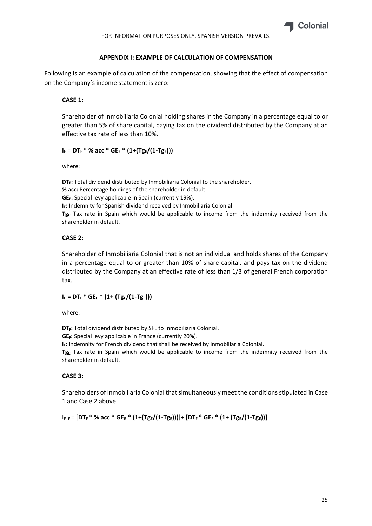

#### **APPENDIX I: EXAMPLE OF CALCULATION OF COMPENSATION**

Following is an example of calculation of the compensation, showing that the effect of compensation on the Company's income statement is zero:

#### **CASE 1:**

Shareholder of Inmobiliaria Colonial holding shares in the Company in a percentage equal to or greater than 5% of share capital, paying tax on the dividend distributed by the Company at an effective tax rate of less than 10%.

# $I_E = DT_E * \%$  acc \*  $GE_E * (1+(Tg_E/(1-Tg_E)))$

where:

**DT<sub>E</sub>:** Total dividend distributed by Inmobiliaria Colonial to the shareholder. **% acc:** Percentage holdings of the shareholder in default. **GEE:** Special levy applicable in Spain (currently 19%). **IE:** Indemnity for Spanish dividend received by Inmobiliaria Colonial. Tg<sub>E:</sub> Tax rate in Spain which would be applicable to income from the indemnity received from the shareholder in default.

# **CASE 2:**

Shareholder of Inmobiliaria Colonial that is not an individual and holds shares of the Company in a percentage equal to or greater than 10% of share capital, and pays tax on the dividend distributed by the Company at an effective rate of less than 1/3 of general French corporation tax.

# $I_F = DT_F * GE_F * (1 + (Tg_E/(1 - Tg_E)))$

where:

DT<sub>F</sub>: Total dividend distributed by SFL to Inmobiliaria Colonial.

**GE<sub>F</sub>:** Special levy applicable in France (currently 20%).

**IF:** Indemnity for French dividend that shall be received by Inmobiliaria Colonial.

Tg<sub>E</sub>: Tax rate in Spain which would be applicable to income from the indemnity received from the shareholder in default.

#### **CASE 3:**

Shareholders of Inmobiliaria Colonial that simultaneously meet the conditions stipulated in Case 1 and Case 2 above.

IE+F = [**DT**<sup>E</sup> \* **% acc \* GEE \* (1+(TgE/(1‐TgE)))**]**+ [DT**<sup>F</sup> **\* GEF \* (1+ (TgE/(1‐TgE))]**